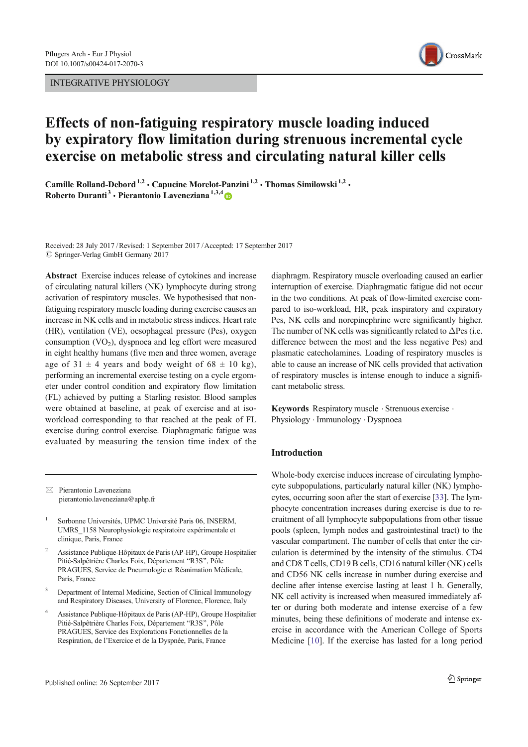### INTEGRATIVE PHYSIOLOGY



# Effects of non-fatiguing respiratory muscle loading induced by expiratory flow limitation during strenuous incremental cycle exercise on metabolic stress and circulating natural killer cells

Camille Rolland-Debord<sup>1,2</sup>  $\cdot$  Capucine Morelot-Panzini<sup>1,2</sup>  $\cdot$  Thomas Similowski<sup>1,2</sup>  $\cdot$ Roberto Duranti<sup>3</sup> · Pierantonio Laveneziana<sup>1,3,4</sup>

Received: 28 July 2017 /Revised: 1 September 2017 /Accepted: 17 September 2017  $\oslash$  Springer-Verlag GmbH Germany 2017

Abstract Exercise induces release of cytokines and increase of circulating natural killers (NK) lymphocyte during strong activation of respiratory muscles. We hypothesised that nonfatiguing respiratory muscle loading during exercise causes an increase in NK cells and in metabolic stress indices. Heart rate (HR), ventilation (VE), oesophageal pressure (Pes), oxygen consumption  $(VO<sub>2</sub>)$ , dyspnoea and leg effort were measured in eight healthy humans (five men and three women, average age of 31  $\pm$  4 years and body weight of 68  $\pm$  10 kg), performing an incremental exercise testing on a cycle ergometer under control condition and expiratory flow limitation (FL) achieved by putting a Starling resistor. Blood samples were obtained at baseline, at peak of exercise and at isoworkload corresponding to that reached at the peak of FL exercise during control exercise. Diaphragmatic fatigue was evaluated by measuring the tension time index of the

 $\boxtimes$  Pierantonio Laveneziana pierantonio.laveneziana@aphp.fr

- <sup>1</sup> Sorbonne Universités, UPMC Université Paris 06, INSERM, UMRS\_1158 Neurophysiologie respiratoire expérimentale et clinique, Paris, France
- <sup>2</sup> Assistance Publique-Hôpitaux de Paris (AP-HP), Groupe Hospitalier Pitié-Salpêtrière Charles Foix, Département "R3S", Pôle PRAGUES, Service de Pneumologie et Réanimation Médicale, Paris, France
- <sup>3</sup> Department of Internal Medicine, Section of Clinical Immunology and Respiratory Diseases, University of Florence, Florence, Italy
- <sup>4</sup> Assistance Publique-Hôpitaux de Paris (AP-HP), Groupe Hospitalier Pitié-Salpêtrière Charles Foix, Département "R3S", Pôle PRAGUES, Service des Explorations Fonctionnelles de la Respiration, de l'Exercice et de la Dyspnée, Paris, France

diaphragm. Respiratory muscle overloading caused an earlier interruption of exercise. Diaphragmatic fatigue did not occur in the two conditions. At peak of flow-limited exercise compared to iso-workload, HR, peak inspiratory and expiratory Pes, NK cells and norepinephrine were significantly higher. The number of NK cells was significantly related to  $\Delta$ Pes (i.e. difference between the most and the less negative Pes) and plasmatic catecholamines. Loading of respiratory muscles is able to cause an increase of NK cells provided that activation of respiratory muscles is intense enough to induce a significant metabolic stress.

Keywords Respiratory muscle · Strenuous exercise · Physiology . Immunology . Dyspnoea

### Introduction

Whole-body exercise induces increase of circulating lymphocyte subpopulations, particularly natural killer (NK) lymphocytes, occurring soon after the start of exercise [33]. The lymphocyte concentration increases during exercise is due to recruitment of all lymphocyte subpopulations from other tissue pools (spleen, lymph nodes and gastrointestinal tract) to the vascular compartment. The number of cells that enter the circulation is determined by the intensity of the stimulus. CD4 and CD8 T cells, CD19 B cells, CD16 natural killer (NK) cells and CD56 NK cells increase in number during exercise and decline after intense exercise lasting at least 1 h. Generally, NK cell activity is increased when measured immediately after or during both moderate and intense exercise of a few minutes, being these definitions of moderate and intense exercise in accordance with the American College of Sports Medicine [10]. If the exercise has lasted for a long period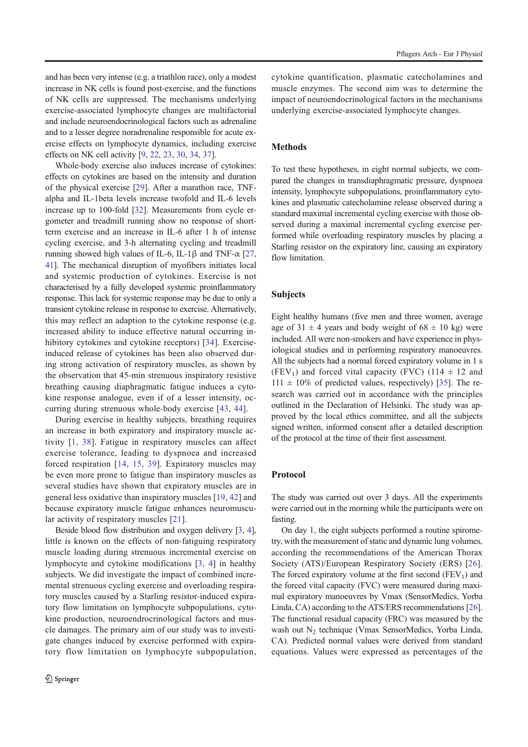and has been very intense (e.g. a triathlon race), only a modest increase in NK cells is found post-exercise, and the functions of NK cells are suppressed. The mechanisms underlying exercise-associated lymphocyte changes are multifactorial and include neuroendocrinological factors such as adrenaline and to a lesser degree noradrenaline responsible for acute exercise effects on lymphocyte dynamics, including exercise effects on NK cell activity [9, 22, 23, 30, 34, 37].

Whole-body exercise also induces increase of cytokines: effects on cytokines are based on the intensity and duration of the physical exercise [29]. After a marathon race, TNFalpha and IL-1beta levels increase twofold and IL-6 levels increase up to 100-fold [32]. Measurements from cycle ergometer and treadmill running show no response of shortterm exercise and an increase in IL-6 after 1 h of intense cycling exercise, and 3-h alternating cycling and treadmill running showed high values of IL-6, IL-1β and TNF- $\alpha$  [27, 41]. The mechanical disruption of myofibers initiates local and systemic production of cytokines. Exercise is not characterised by a fully developed systemic proinflammatory response. This lack for systemic response may be due to only a transient cytokine release in response to exercise. Alternatively, this may reflect an adaption to the cytokine response (e.g. increased ability to induce effective natural occurring inhibitory cytokines and cytokine receptors) [34]. Exerciseinduced release of cytokines has been also observed during strong activation of respiratory muscles, as shown by the observation that 45-min strenuous inspiratory resistive breathing causing diaphragmatic fatigue induces a cytokine response analogue, even if of a lesser intensity, occurring during strenuous whole-body exercise [43, 44].

During exercise in healthy subjects, breathing requires an increase in both expiratory and inspiratory muscle activity [1, 38]. Fatigue in respiratory muscles can affect exercise tolerance, leading to dyspnoea and increased forced respiration [14, 15, 39]. Expiratory muscles may be even more prone to fatigue than inspiratory muscles as several studies have shown that expiratory muscles are in general less oxidative than inspiratory muscles [19, 42] and because expiratory muscle fatigue enhances neuromuscular activity of respiratory muscles [21].

Beside blood flow distribution and oxygen delivery [3, 4], little is known on the effects of non-fatiguing respiratory muscle loading during strenuous incremental exercise on lymphocyte and cytokine modifications [3, 4] in healthy subjects. We did investigate the impact of combined incremental strenuous cycling exercise and overloading respiratory muscles caused by a Starling resistor-induced expiratory flow limitation on lymphocyte subpopulations, cytokine production, neuroendrocrinological factors and muscle damages. The primary aim of our study was to investigate changes induced by exercise performed with expiratory flow limitation on lymphocyte subpopulation, cytokine quantification, plasmatic catecholamines and muscle enzymes. The second aim was to determine the impact of neuroendocrinological factors in the mechanisms underlying exercise-associated lymphocyte changes.

# Methods

To test these hypotheses, in eight normal subjects, we compared the changes in transdiaphragmatic pressure, dyspnoea intensity, lymphocyte subpopulations, proinflammatory cytokines and plasmatic catecholamine release observed during a standard maximal incremental cycling exercise with those observed during a maximal incremental cycling exercise performed while overloading respiratory muscles by placing a Starling resistor on the expiratory line, causing an expiratory flow limitation.

# Subjects

Eight healthy humans (five men and three women, average age of 31  $\pm$  4 years and body weight of 68  $\pm$  10 kg) were included. All were non-smokers and have experience in physiological studies and in performing respiratory manoeuvres. All the subjects had a normal forced expiratory volume in 1 s (FEV<sub>1</sub>) and forced vital capacity (FVC) (114  $\pm$  12 and  $111 \pm 10\%$  of predicted values, respectively) [35]. The research was carried out in accordance with the principles outlined in the Declaration of Helsinki. The study was approved by the local ethics committee, and all the subjects signed written, informed consent after a detailed description of the protocol at the time of their first assessment.

# Protocol

The study was carried out over 3 days. All the experiments were carried out in the morning while the participants were on fasting.

On day 1, the eight subjects performed a routine spirometry, with the measurement of static and dynamic lung volumes, according the recommendations of the American Thorax Society (ATS)/European Respiratory Society (ERS) [26]. The forced expiratory volume at the first second  $(FEV_1)$  and the forced vital capacity (FVC) were measured during maximal expiratory manoeuvres by Vmax (SensorMedics, Yorba Linda, CA) according to the ATS/ERS recommendations [26]. The functional residual capacity (FRC) was measured by the wash out N<sub>2</sub> technique (Vmax SensorMedics, Yorba Linda, CA). Predicted normal values were derived from standard equations. Values were expressed as percentages of the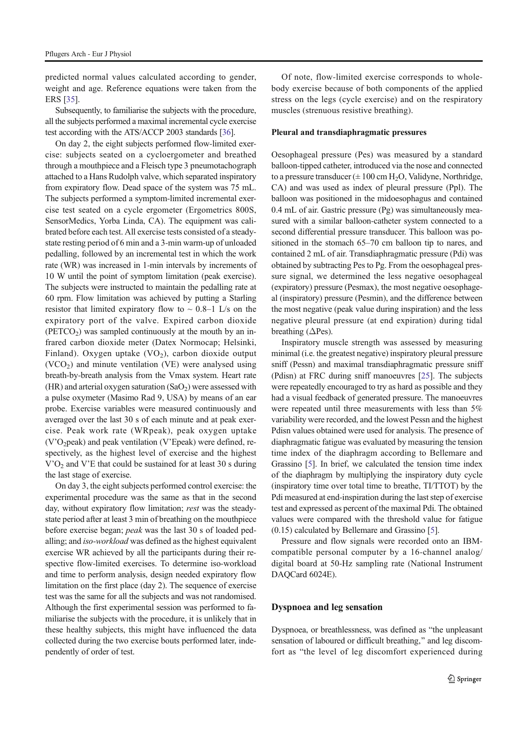predicted normal values calculated according to gender, weight and age. Reference equations were taken from the ERS [35].

Subsequently, to familiarise the subjects with the procedure, all the subjects performed a maximal incremental cycle exercise test according with the ATS/ACCP 2003 standards [36].

On day 2, the eight subjects performed flow-limited exercise: subjects seated on a cycloergometer and breathed through a mouthpiece and a Fleisch type 3 pneumotachograph attached to a Hans Rudolph valve, which separated inspiratory from expiratory flow. Dead space of the system was 75 mL. The subjects performed a symptom-limited incremental exercise test seated on a cycle ergometer (Ergometrics 800S, SensorMedics, Yorba Linda, CA). The equipment was calibrated before each test. All exercise tests consisted of a steadystate resting period of 6 min and a 3-min warm-up of unloaded pedalling, followed by an incremental test in which the work rate (WR) was increased in 1-min intervals by increments of 10 W until the point of symptom limitation (peak exercise). The subjects were instructed to maintain the pedalling rate at 60 rpm. Flow limitation was achieved by putting a Starling resistor that limited expiratory flow to  $\sim 0.8$ –1 L/s on the expiratory port of the valve. Expired carbon dioxide  $(PECTCO<sub>2</sub>)$  was sampled continuously at the mouth by an infrared carbon dioxide meter (Datex Normocap; Helsinki, Finland). Oxygen uptake  $(VO<sub>2</sub>)$ , carbon dioxide output  $(VCO<sub>2</sub>)$  and minute ventilation  $(VE)$  were analysed using breath-by-breath analysis from the Vmax system. Heart rate (HR) and arterial oxygen saturation  $(SaO<sub>2</sub>)$  were assessed with a pulse oxymeter (Masimo Rad 9, USA) by means of an ear probe. Exercise variables were measured continuously and averaged over the last 30 s of each minute and at peak exercise. Peak work rate (WRpeak), peak oxygen uptake  $(V'O<sub>2</sub>peak)$  and peak ventilation (V'Epeak) were defined, respectively, as the highest level of exercise and the highest  $V'O<sub>2</sub>$  and  $V'E$  that could be sustained for at least 30 s during the last stage of exercise.

On day 3, the eight subjects performed control exercise: the experimental procedure was the same as that in the second day, without expiratory flow limitation; rest was the steadystate period after at least 3 min of breathing on the mouthpiece before exercise began; peak was the last 30 s of loaded pedalling; and iso-workload was defined as the highest equivalent exercise WR achieved by all the participants during their respective flow-limited exercises. To determine iso-workload and time to perform analysis, design needed expiratory flow limitation on the first place (day 2). The sequence of exercise test was the same for all the subjects and was not randomised. Although the first experimental session was performed to familiarise the subjects with the procedure, it is unlikely that in these healthy subjects, this might have influenced the data collected during the two exercise bouts performed later, independently of order of test.

Of note, flow-limited exercise corresponds to wholebody exercise because of both components of the applied stress on the legs (cycle exercise) and on the respiratory muscles (strenuous resistive breathing).

#### Pleural and transdiaphragmatic pressures

Oesophageal pressure (Pes) was measured by a standard balloon-tipped catheter, introduced via the nose and connected to a pressure transducer  $(\pm 100 \text{ cm H}_2\text{O}, \text{Validyne}, \text{Northridge}, \text{$ CA) and was used as index of pleural pressure (Ppl). The balloon was positioned in the midoesophagus and contained 0.4 mL of air. Gastric pressure (Pg) was simultaneously measured with a similar balloon-catheter system connected to a second differential pressure transducer. This balloon was positioned in the stomach 65–70 cm balloon tip to nares, and contained 2 mL of air. Transdiaphragmatic pressure (Pdi) was obtained by subtracting Pes to Pg. From the oesophageal pressure signal, we determined the less negative oesophageal (expiratory) pressure (Pesmax), the most negative oesophageal (inspiratory) pressure (Pesmin), and the difference between the most negative (peak value during inspiration) and the less negative pleural pressure (at end expiration) during tidal breathing ( $\Delta$ Pes).

Inspiratory muscle strength was assessed by measuring minimal (i.e. the greatest negative) inspiratory pleural pressure sniff (Pessn) and maximal transdiaphragmatic pressure sniff (Pdisn) at FRC during sniff manoeuvres [25]. The subjects were repeatedly encouraged to try as hard as possible and they had a visual feedback of generated pressure. The manoeuvres were repeated until three measurements with less than 5% variability were recorded, and the lowest Pessn and the highest Pdisn values obtained were used for analysis. The presence of diaphragmatic fatigue was evaluated by measuring the tension time index of the diaphragm according to Bellemare and Grassino [5]. In brief, we calculated the tension time index of the diaphragm by multiplying the inspiratory duty cycle (inspiratory time over total time to breathe, TI/TTOT) by the Pdi measured at end-inspiration during the last step of exercise test and expressed as percent of the maximal Pdi. The obtained values were compared with the threshold value for fatigue (0.15) calculated by Bellemare and Grassino [5].

Pressure and flow signals were recorded onto an IBMcompatible personal computer by a 16-channel analog/ digital board at 50-Hz sampling rate (National Instrument DAQCard 6024E).

# Dyspnoea and leg sensation

Dyspnoea, or breathlessness, was defined as "the unpleasant" sensation of laboured or difficult breathing," and leg discomfort as "the level of leg discomfort experienced during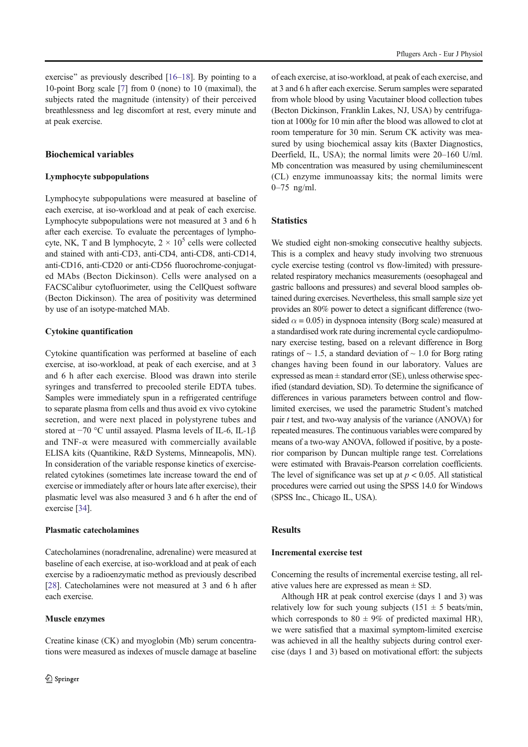exercise" as previously described  $[16–18]$ . By pointing to a 10-point Borg scale [7] from 0 (none) to 10 (maximal), the subjects rated the magnitude (intensity) of their perceived breathlessness and leg discomfort at rest, every minute and at peak exercise.

### Biochemical variables

### Lymphocyte subpopulations

Lymphocyte subpopulations were measured at baseline of each exercise, at iso-workload and at peak of each exercise. Lymphocyte subpopulations were not measured at 3 and 6 h after each exercise. To evaluate the percentages of lymphocyte, NK, T and B lymphocyte,  $2 \times 10^5$  cells were collected and stained with anti-CD3, anti-CD4, anti-CD8, anti-CD14, anti-CD16, anti-CD20 or anti-CD56 fluorochrome-conjugated MAbs (Becton Dickinson). Cells were analysed on a FACSCalibur cytofluorimeter, using the CellQuest software (Becton Dickinson). The area of positivity was determined by use of an isotype-matched MAb.

### Cytokine quantification

Cytokine quantification was performed at baseline of each exercise, at iso-workload, at peak of each exercise, and at 3 and 6 h after each exercise. Blood was drawn into sterile syringes and transferred to precooled sterile EDTA tubes. Samples were immediately spun in a refrigerated centrifuge to separate plasma from cells and thus avoid ex vivo cytokine secretion, and were next placed in polystyrene tubes and stored at −70 °C until assayed. Plasma levels of IL-6, IL-1β and TNF- $\alpha$  were measured with commercially available ELISA kits (Quantikine, R&D Systems, Minneapolis, MN). In consideration of the variable response kinetics of exerciserelated cytokines (sometimes late increase toward the end of exercise or immediately after or hours late after exercise), their plasmatic level was also measured 3 and 6 h after the end of exercise [34].

## Plasmatic catecholamines

Catecholamines (noradrenaline, adrenaline) were measured at baseline of each exercise, at iso-workload and at peak of each exercise by a radioenzymatic method as previously described [28]. Catecholamines were not measured at 3 and 6 h after each exercise.

### Muscle enzymes

Creatine kinase (CK) and myoglobin (Mb) serum concentrations were measured as indexes of muscle damage at baseline of each exercise, at iso-workload, at peak of each exercise, and at 3 and 6 h after each exercise. Serum samples were separated from whole blood by using Vacutainer blood collection tubes (Becton Dickinson, Franklin Lakes, NJ, USA) by centrifugation at 1000g for 10 min after the blood was allowed to clot at room temperature for 30 min. Serum CK activity was measured by using biochemical assay kits (Baxter Diagnostics, Deerfield, IL, USA); the normal limits were 20–160 U/ml. Mb concentration was measured by using chemiluminescent (CL) enzyme immunoassay kits; the normal limits were 0–75 ng/ml.

# **Statistics**

We studied eight non-smoking consecutive healthy subjects. This is a complex and heavy study involving two strenuous cycle exercise testing (control vs flow-limited) with pressurerelated respiratory mechanics measurements (oesophageal and gastric balloons and pressures) and several blood samples obtained during exercises. Nevertheless, this small sample size yet provides an 80% power to detect a significant difference (twosided  $\alpha$  = 0.05) in dyspnoea intensity (Borg scale) measured at a standardised work rate during incremental cycle cardiopulmonary exercise testing, based on a relevant difference in Borg ratings of  $\sim$  1.5, a standard deviation of  $\sim$  1.0 for Borg rating changes having been found in our laboratory. Values are expressed as mean  $\pm$  standard error (SE), unless otherwise specified (standard deviation, SD). To determine the significance of differences in various parameters between control and flowlimited exercises, we used the parametric Student's matched pair t test, and two-way analysis of the variance (ANOVA) for repeated measures. The continuous variables were compared by means of a two-way ANOVA, followed if positive, by a posterior comparison by Duncan multiple range test. Correlations were estimated with Bravais-Pearson correlation coefficients. The level of significance was set up at  $p < 0.05$ . All statistical procedures were carried out using the SPSS 14.0 for Windows (SPSS Inc., Chicago IL, USA).

### **Results**

### Incremental exercise test

Concerning the results of incremental exercise testing, all relative values here are expressed as mean ± SD.

Although HR at peak control exercise (days 1 and 3) was relatively low for such young subjects (151  $\pm$  5 beats/min, which corresponds to  $80 \pm 9\%$  of predicted maximal HR), we were satisfied that a maximal symptom-limited exercise was achieved in all the healthy subjects during control exercise (days 1 and 3) based on motivational effort: the subjects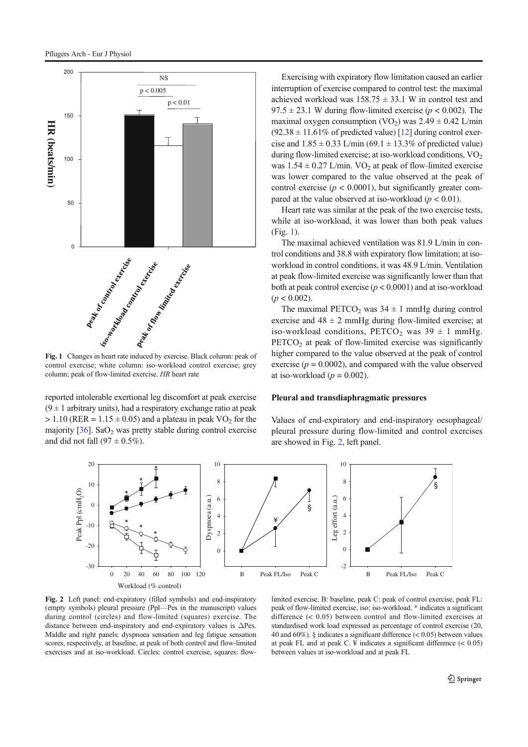

Fig. 1 Changes in heart rate induced by exercise. Black column: peak of control exercise; white column: iso-workload control exercise; grey column; peak of flow-limited exercise. HR heart rate

reported intolerable exertional leg discomfort at peak exercise  $(9 \pm 1)$  arbitrary units), had a respiratory exchange ratio at peak  $> 1.10$  (RER = 1.15  $\pm$  0.05) and a plateau in peak VO<sub>2</sub> for the majority  $[36]$ . SaO<sub>2</sub> was pretty stable during control exercise and did not fall  $(97 \pm 0.5\%)$ .

Exercising with expiratory flow limitation caused an earlier interruption of exercise compared to control test: the maximal achieved workload was  $158.75 \pm 33.1$  W in control test and 97.5  $\pm$  23.1 W during flow-limited exercise ( $p$  < 0.002). The maximal oxygen consumption  $(VO<sub>2</sub>)$  was  $2.49 \pm 0.42$  L/min  $(92.38 \pm 11.61\%$  of predicted value) [12] during control exercise and  $1.85 \pm 0.33$  L/min (69.1  $\pm$  13.3% of predicted value) during flow-limited exercise; at iso-workload conditions,  $VO<sub>2</sub>$ was  $1.54 \pm 0.27$  L/min. VO<sub>2</sub> at peak of flow-limited exercise was lower compared to the value observed at the peak of control exercise ( $p < 0.0001$ ), but significantly greater compared at the value observed at iso-workload ( $p < 0.01$ ).

Heart rate was similar at the peak of the two exercise tests, while at iso-workload, it was lower than both peak values (Fig. 1).

The maximal achieved ventilation was 81.9 L/min in control conditions and 38.8 with expiratory flow limitation; at isoworkload in control conditions, it was 48.9 L/min. Ventilation at peak flow-limited exercise was significantly lower than that both at peak control exercise ( $p < 0.0001$ ) and at iso-workload  $(p < 0.002)$ .

The maximal PETCO<sub>2</sub> was  $34 \pm 1$  mmHg during control exercise and  $48 \pm 2$  mmHg during flow-limited exercise; at iso-workload conditions, PETCO<sub>2</sub> was  $39 \pm 1$  mmHg.  $PETCO<sub>2</sub>$  at peak of flow-limited exercise was significantly higher compared to the value observed at the peak of control exercise ( $p = 0.0002$ ), and compared with the value observed at iso-workload ( $p = 0.002$ ).

#### Pleural and transdiaphragmatic pressures

Values of end-expiratory and end-inspiratory oesophageal/ pleural pressure during flow-limited and control exercises are showed in Fig. 2, left panel.

![](_page_4_Figure_10.jpeg)

Fig. 2 Left panel: end-expiratory (filled symbols) and end-inspiratory (empty symbols) pleural pressure (Ppl—Pes in the manuscript) values during control (circles) and flow-limited (squares) exercise. The distance between end-inspiratory and end-expiratory values is ΔPes. Middle and right panels: dyspnoea sensation and leg fatigue sensation scores, respectively, at baseline, at peak of both control and flow-limited exercises and at iso-workload. Circles: control exercise, squares: flow-

limited exercise. B: baseline, peak C: peak of control exercise, peak FL: peak of flow-limited exercise, iso: iso-workload. \* indicates a significant difference (< 0.05) between control and flow-limited exercises at standardised work load expressed as percentage of control exercise (20, 40 and 60%). § indicates a significant difference  $(< 0.05)$  between values at peak FL and at peak C. ¥ indicates a significant difference (< 0.05) between values at iso-workload and at peak FL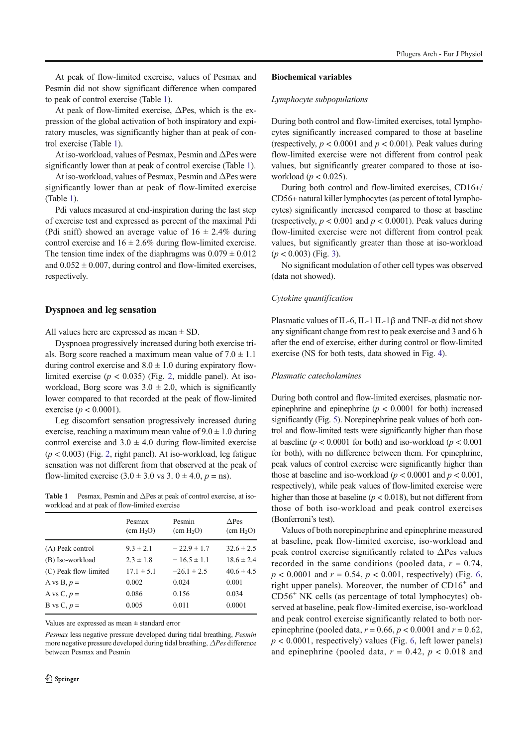At peak of flow-limited exercise, values of Pesmax and Pesmin did not show significant difference when compared to peak of control exercise (Table 1).

At peak of flow-limited exercise, ΔPes, which is the expression of the global activation of both inspiratory and expiratory muscles, was significantly higher than at peak of control exercise (Table 1).

At iso-workload, values of Pesmax, Pesmin and ΔPes were significantly lower than at peak of control exercise (Table 1).

At iso-workload, values of Pesmax, Pesmin and ΔPes were significantly lower than at peak of flow-limited exercise (Table 1).

Pdi values measured at end-inspiration during the last step of exercise test and expressed as percent of the maximal Pdi (Pdi sniff) showed an average value of  $16 \pm 2.4\%$  during control exercise and  $16 \pm 2.6\%$  during flow-limited exercise. The tension time index of the diaphragms was  $0.079 \pm 0.012$ and  $0.052 \pm 0.007$ , during control and flow-limited exercises, respectively.

#### Dyspnoea and leg sensation

All values here are expressed as mean  $\pm$  SD.

Dyspnoea progressively increased during both exercise trials. Borg score reached a maximum mean value of  $7.0 \pm 1.1$ during control exercise and  $8.0 \pm 1.0$  during expiratory flowlimited exercise ( $p < 0.035$ ) (Fig. 2, middle panel). At isoworkload, Borg score was  $3.0 \pm 2.0$ , which is significantly lower compared to that recorded at the peak of flow-limited exercise ( $p < 0.0001$ ).

Leg discomfort sensation progressively increased during exercise, reaching a maximum mean value of  $9.0 \pm 1.0$  during control exercise and  $3.0 \pm 4.0$  during flow-limited exercise  $(p < 0.003)$  (Fig. 2, right panel). At iso-workload, leg fatigue sensation was not different from that observed at the peak of flow-limited exercise  $(3.0 \pm 3.0 \text{ vs } 3.0 \pm 4.0, p = \text{ns}).$ 

Table 1 Pesmax, Pesmin and  $\Delta$ Pes at peak of control exercise, at isoworkload and at peak of flow-limited exercise

|                       | Pesmax<br>(cm H <sub>2</sub> O) | Pesmin<br>(cm H <sub>2</sub> O) | $\triangle$ Pes<br>(cm H <sub>2</sub> O) |
|-----------------------|---------------------------------|---------------------------------|------------------------------------------|
| (A) Peak control      | $9.3 \pm 2.1$                   | $-22.9 \pm 1.7$                 | $32.6 \pm 2.5$                           |
| (B) Iso-workload      | $2.3 \pm 1.8$                   | $-16.5 \pm 1.1$                 | $18.6 \pm 2.4$                           |
| (C) Peak flow-limited | $17.1 \pm 5.1$                  | $-26.1 \pm 2.5$                 | $40.6 \pm 4.5$                           |
| A vs B, $p =$         | 0.002                           | 0.024                           | 0.001                                    |
| A vs C, $p =$         | 0.086                           | 0.156                           | 0.034                                    |
| B vs C, $p =$         | 0.005                           | 0.011                           | 0.0001                                   |
|                       |                                 |                                 |                                          |

Values are expressed as mean ± standard error

Pesmax less negative pressure developed during tidal breathing, Pesmin more negative pressure developed during tidal breathing, ΔPes difference between Pesmax and Pesmin

#### Biochemical variables

#### Lymphocyte subpopulations

During both control and flow-limited exercises, total lymphocytes significantly increased compared to those at baseline (respectively,  $p < 0.0001$  and  $p < 0.001$ ). Peak values during flow-limited exercise were not different from control peak values, but significantly greater compared to those at isoworkload ( $p < 0.025$ ).

During both control and flow-limited exercises, CD16+/ CD56+ natural killer lymphocytes (as percent of total lymphocytes) significantly increased compared to those at baseline (respectively,  $p < 0.001$  and  $p < 0.0001$ ). Peak values during flow-limited exercise were not different from control peak values, but significantly greater than those at iso-workload  $(p < 0.003)$  (Fig. 3).

No significant modulation of other cell types was observed (data not showed).

#### Cytokine quantification

Plasmatic values of IL-6, IL-1 IL-1 $\beta$  and TNF- $\alpha$  did not show any significant change from rest to peak exercise and 3 and 6 h after the end of exercise, either during control or flow-limited exercise (NS for both tests, data showed in Fig. 4).

### Plasmatic catecholamines

During both control and flow-limited exercises, plasmatic norepinephrine and epinephrine ( $p < 0.0001$  for both) increased significantly (Fig. 5). Norepinephrine peak values of both control and flow-limited tests were significantly higher than those at baseline ( $p < 0.0001$  for both) and iso-workload ( $p < 0.001$ ) for both), with no difference between them. For epinephrine, peak values of control exercise were significantly higher than those at baseline and iso-workload ( $p < 0.0001$  and  $p < 0.001$ , respectively), while peak values of flow-limited exercise were higher than those at baseline ( $p < 0.018$ ), but not different from those of both iso-workload and peak control exercises (Bonferroni's test).

Values of both norepinephrine and epinephrine measured at baseline, peak flow-limited exercise, iso-workload and peak control exercise significantly related to  $\Delta$ Pes values recorded in the same conditions (pooled data,  $r = 0.74$ ,  $p < 0.0001$  and  $r = 0.54$ ,  $p < 0.001$ , respectively) (Fig. 6, right upper panels). Moreover, the number of CD16<sup>+</sup> and CD56<sup>+</sup> NK cells (as percentage of total lymphocytes) observed at baseline, peak flow-limited exercise, iso-workload and peak control exercise significantly related to both norepinephrine (pooled data,  $r = 0.66$ ,  $p < 0.0001$  and  $r = 0.62$ ,  $p < 0.0001$ , respectively) values (Fig. 6, left lower panels) and epinephrine (pooled data,  $r = 0.42$ ,  $p < 0.018$  and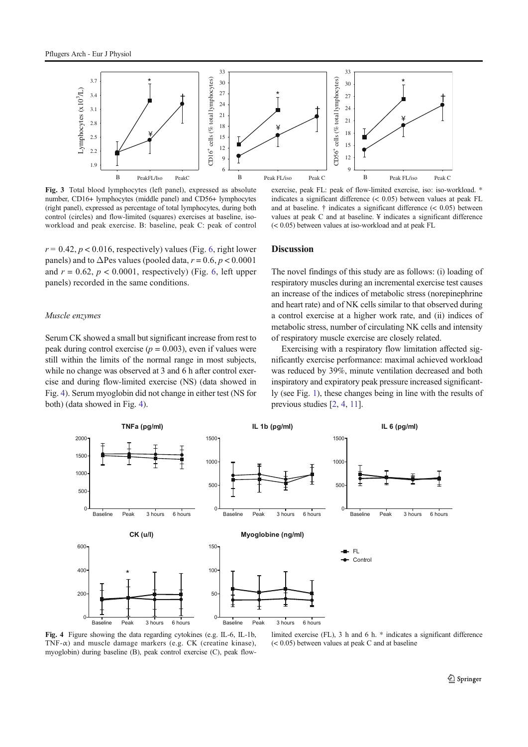![](_page_6_Figure_1.jpeg)

Fig. 3 Total blood lymphocytes (left panel), expressed as absolute number, CD16+ lymphocytes (middle panel) and CD56+ lymphocytes (right panel), expressed as percentage of total lymphocytes, during both control (circles) and flow-limited (squares) exercises at baseline, isoworkload and peak exercise. B: baseline, peak C: peak of control

 $r = 0.42$ ,  $p < 0.016$ , respectively) values (Fig. 6, right lower panels) and to  $\triangle$ Pes values (pooled data,  $r = 0.6$ ,  $p < 0.0001$ and  $r = 0.62$ ,  $p < 0.0001$ , respectively) (Fig. 6, left upper panels) recorded in the same conditions.

### Muscle enzymes

Serum CK showed a small but significant increase from rest to peak during control exercise ( $p = 0.003$ ), even if values were still within the limits of the normal range in most subjects, while no change was observed at 3 and 6 h after control exercise and during flow-limited exercise (NS) (data showed in Fig. 4). Serum myoglobin did not change in either test (NS for both) (data showed in Fig. 4).

exercise, peak FL: peak of flow-limited exercise, iso: iso-workload. \* indicates a significant difference (< 0.05) between values at peak FL and at baseline. † indicates a significant difference (< 0.05) between values at peak C and at baseline. ¥ indicates a significant difference (< 0.05) between values at iso-workload and at peak FL

# **Discussion**

The novel findings of this study are as follows: (i) loading of respiratory muscles during an incremental exercise test causes an increase of the indices of metabolic stress (norepinephrine and heart rate) and of NK cells similar to that observed during a control exercise at a higher work rate, and (ii) indices of metabolic stress, number of circulating NK cells and intensity of respiratory muscle exercise are closely related.

Exercising with a respiratory flow limitation affected significantly exercise performance: maximal achieved workload was reduced by 39%, minute ventilation decreased and both inspiratory and expiratory peak pressure increased significantly (see Fig. 1), these changes being in line with the results of previous studies [2, 4, 11].

![](_page_6_Figure_10.jpeg)

Fig. 4 Figure showing the data regarding cytokines (e.g. IL-6, IL-1b, TNF-α) and muscle damage markers (e.g. CK (creatine kinase), myoglobin) during baseline (B), peak control exercise (C), peak flow-

limited exercise (FL), 3 h and 6 h. \* indicates a significant difference (< 0.05) between values at peak C and at baseline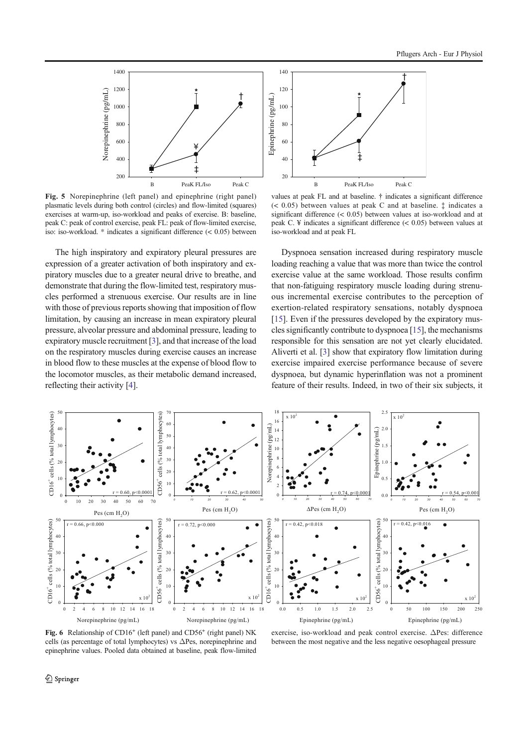![](_page_7_Figure_1.jpeg)

Fig. 5 Norepinephrine (left panel) and epinephrine (right panel) plasmatic levels during both control (circles) and flow-limited (squares) exercises at warm-up, iso-workload and peaks of exercise. B: baseline, peak C: peak of control exercise, peak FL: peak of flow-limited exercise, iso: iso-workload.  $*$  indicates a significant difference  $( $0.05$ ) between$ 

The high inspiratory and expiratory pleural pressures are expression of a greater activation of both inspiratory and expiratory muscles due to a greater neural drive to breathe, and demonstrate that during the flow-limited test, respiratory muscles performed a strenuous exercise. Our results are in line with those of previous reports showing that imposition of flow limitation, by causing an increase in mean expiratory pleural pressure, alveolar pressure and abdominal pressure, leading to expiratory muscle recruitment [3], and that increase of the load on the respiratory muscles during exercise causes an increase in blood flow to these muscles at the expense of blood flow to the locomotor muscles, as their metabolic demand increased, reflecting their activity [4].

![](_page_7_Figure_4.jpeg)

values at peak FL and at baseline. † indicates a significant difference (< 0.05) between values at peak C and at baseline. ‡ indicates a significant difference (< 0.05) between values at iso-workload and at peak C. ¥ indicates a significant difference (< 0.05) between values at iso-workload and at peak FL

Dyspnoea sensation increased during respiratory muscle loading reaching a value that was more than twice the control exercise value at the same workload. Those results confirm that non-fatiguing respiratory muscle loading during strenuous incremental exercise contributes to the perception of exertion-related respiratory sensations, notably dyspnoea [15]. Even if the pressures developed by the expiratory muscles significantly contribute to dyspnoea [15], the mechanisms responsible for this sensation are not yet clearly elucidated. Aliverti et al. [3] show that expiratory flow limitation during exercise impaired exercise performance because of severe dyspnoea, but dynamic hyperinflation was not a prominent feature of their results. Indeed, in two of their six subjects, it

![](_page_7_Figure_7.jpeg)

Fig. 6 Relationship of  $CD16<sup>+</sup>$  (left panel) and  $CD56<sup>+</sup>$  (right panel) NK cells (as percentage of total lymphocytes) vs  $\Delta$ Pes, norepinephrine and epinephrine values. Pooled data obtained at baseline, peak flow-limited

exercise, iso-workload and peak control exercise. ΔPes: difference between the most negative and the less negative oesophageal pressure

Springer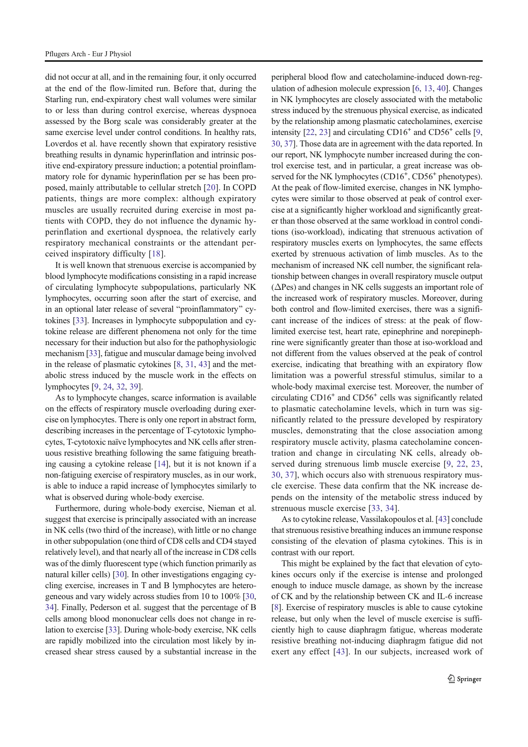did not occur at all, and in the remaining four, it only occurred at the end of the flow-limited run. Before that, during the Starling run, end-expiratory chest wall volumes were similar to or less than during control exercise, whereas dyspnoea assessed by the Borg scale was considerably greater at the same exercise level under control conditions. In healthy rats, Loverdos et al. have recently shown that expiratory resistive breathing results in dynamic hyperinflation and intrinsic positive end-expiratory pressure induction; a potential proinflammatory role for dynamic hyperinflation per se has been proposed, mainly attributable to cellular stretch [20]. In COPD patients, things are more complex: although expiratory muscles are usually recruited during exercise in most patients with COPD, they do not influence the dynamic hyperinflation and exertional dyspnoea, the relatively early respiratory mechanical constraints or the attendant perceived inspiratory difficulty [18].

It is well known that strenuous exercise is accompanied by blood lymphocyte modifications consisting in a rapid increase of circulating lymphocyte subpopulations, particularly NK lymphocytes, occurring soon after the start of exercise, and in an optional later release of several "proinflammatory" cytokines [33]. Increases in lymphocyte subpopulation and cytokine release are different phenomena not only for the time necessary for their induction but also for the pathophysiologic mechanism [33], fatigue and muscular damage being involved in the release of plasmatic cytokines [8, 31, 43] and the metabolic stress induced by the muscle work in the effects on lymphocytes [9, 24, 32, 39].

As to lymphocyte changes, scarce information is available on the effects of respiratory muscle overloading during exercise on lymphocytes. There is only one report in abstract form, describing increases in the percentage of T-cytotoxic lymphocytes, T-cytotoxic naïve lymphocytes and NK cells after strenuous resistive breathing following the same fatiguing breathing causing a cytokine release [14], but it is not known if a non-fatiguing exercise of respiratory muscles, as in our work, is able to induce a rapid increase of lymphocytes similarly to what is observed during whole-body exercise.

Furthermore, during whole-body exercise, Nieman et al. suggest that exercise is principally associated with an increase in NK cells (two third of the increase), with little or no change in other subpopulation (one third of CD8 cells and CD4 stayed relatively level), and that nearly all of the increase in CD8 cells was of the dimly fluorescent type (which function primarily as natural killer cells) [30]. In other investigations engaging cycling exercise, increases in T and B lymphocytes are heterogeneous and vary widely across studies from 10 to 100% [30, 34]. Finally, Pederson et al. suggest that the percentage of B cells among blood mononuclear cells does not change in relation to exercise [33]. During whole-body exercise, NK cells are rapidly mobilized into the circulation most likely by increased shear stress caused by a substantial increase in the peripheral blood flow and catecholamine-induced down-regulation of adhesion molecule expression [6, 13, 40]. Changes in NK lymphocytes are closely associated with the metabolic stress induced by the strenuous physical exercise, as indicated by the relationship among plasmatic catecholamines, exercise intensity  $[22, 23]$  and circulating CD16<sup>+</sup> and CD56<sup>+</sup> cells  $[9, 1]$ 30, 37]. Those data are in agreement with the data reported. In our report, NK lymphocyte number increased during the control exercise test, and in particular, a great increase was observed for the NK lymphocytes (CD16<sup>+</sup>, CD56<sup>+</sup> phenotypes). At the peak of flow-limited exercise, changes in NK lymphocytes were similar to those observed at peak of control exercise at a significantly higher workload and significantly greater than those observed at the same workload in control conditions (iso-workload), indicating that strenuous activation of respiratory muscles exerts on lymphocytes, the same effects exerted by strenuous activation of limb muscles. As to the mechanism of increased NK cell number, the significant relationship between changes in overall respiratory muscle output (ΔPes) and changes in NK cells suggests an important role of the increased work of respiratory muscles. Moreover, during both control and flow-limited exercises, there was a significant increase of the indices of stress: at the peak of flowlimited exercise test, heart rate, epinephrine and norepinephrine were significantly greater than those at iso-workload and not different from the values observed at the peak of control exercise, indicating that breathing with an expiratory flow limitation was a powerful stressful stimulus, similar to a whole-body maximal exercise test. Moreover, the number of circulating CD16+ and CD56+ cells was significantly related to plasmatic catecholamine levels, which in turn was significantly related to the pressure developed by respiratory muscles, demonstrating that the close association among respiratory muscle activity, plasma catecholamine concentration and change in circulating NK cells, already observed during strenuous limb muscle exercise [9, 22, 23, 30, 37], which occurs also with strenuous respiratory muscle exercise. These data confirm that the NK increase depends on the intensity of the metabolic stress induced by strenuous muscle exercise [33, 34].

As to cytokine release, Vassilakopoulos et al. [43] conclude that strenuous resistive breathing induces an immune response consisting of the elevation of plasma cytokines. This is in contrast with our report.

This might be explained by the fact that elevation of cytokines occurs only if the exercise is intense and prolonged enough to induce muscle damage, as shown by the increase of CK and by the relationship between CK and IL-6 increase [8]. Exercise of respiratory muscles is able to cause cytokine release, but only when the level of muscle exercise is sufficiently high to cause diaphragm fatigue, whereas moderate resistive breathing not-inducing diaphragm fatigue did not exert any effect [43]. In our subjects, increased work of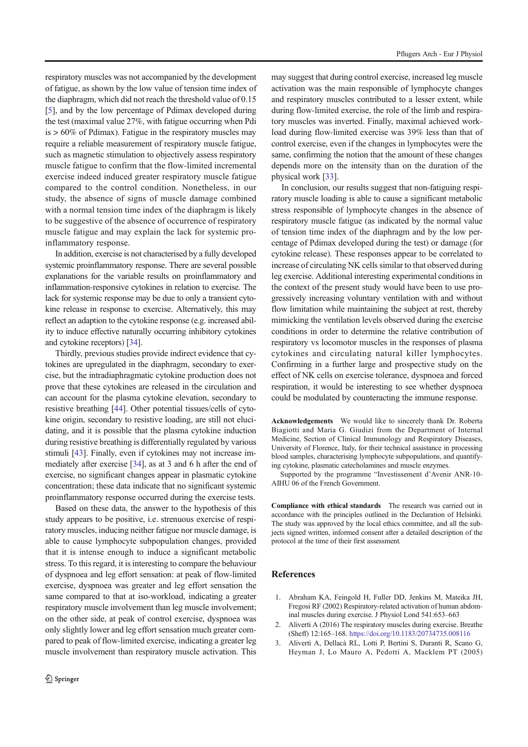respiratory muscles was not accompanied by the development of fatigue, as shown by the low value of tension time index of the diaphragm, which did not reach the threshold value of 0.15 [5], and by the low percentage of Pdimax developed during the test (maximal value 27%, with fatigue occurring when Pdi  $is > 60\%$  of Pdimax). Fatigue in the respiratory muscles may require a reliable measurement of respiratory muscle fatigue, such as magnetic stimulation to objectively assess respiratory muscle fatigue to confirm that the flow-limited incremental exercise indeed induced greater respiratory muscle fatigue compared to the control condition. Nonetheless, in our study, the absence of signs of muscle damage combined with a normal tension time index of the diaphragm is likely to be suggestive of the absence of occurrence of respiratory muscle fatigue and may explain the lack for systemic proinflammatory response.

In addition, exercise is not characterised by a fully developed systemic proinflammatory response. There are several possible explanations for the variable results on proinflammatory and inflammation-responsive cytokines in relation to exercise. The lack for systemic response may be due to only a transient cytokine release in response to exercise. Alternatively, this may reflect an adaption to the cytokine response (e.g. increased ability to induce effective naturally occurring inhibitory cytokines and cytokine receptors) [34].

Thirdly, previous studies provide indirect evidence that cytokines are upregulated in the diaphragm, secondary to exercise, but the intradiaphragmatic cytokine production does not prove that these cytokines are released in the circulation and can account for the plasma cytokine elevation, secondary to resistive breathing [44]. Other potential tissues/cells of cytokine origin, secondary to resistive loading, are still not elucidating, and it is possible that the plasma cytokine induction during resistive breathing is differentially regulated by various stimuli [43]. Finally, even if cytokines may not increase immediately after exercise [34], as at 3 and 6 h after the end of exercise, no significant changes appear in plasmatic cytokine concentration; these data indicate that no significant systemic proinflammatory response occurred during the exercise tests.

Based on these data, the answer to the hypothesis of this study appears to be positive, i.e. strenuous exercise of respiratory muscles, inducing neither fatigue nor muscle damage, is able to cause lymphocyte subpopulation changes, provided that it is intense enough to induce a significant metabolic stress. To this regard, it is interesting to compare the behaviour of dyspnoea and leg effort sensation: at peak of flow-limited exercise, dyspnoea was greater and leg effort sensation the same compared to that at iso-workload, indicating a greater respiratory muscle involvement than leg muscle involvement; on the other side, at peak of control exercise, dyspnoea was only slightly lower and leg effort sensation much greater compared to peak of flow-limited exercise, indicating a greater leg muscle involvement than respiratory muscle activation. This

may suggest that during control exercise, increased leg muscle activation was the main responsible of lymphocyte changes and respiratory muscles contributed to a lesser extent, while during flow-limited exercise, the role of the limb and respiratory muscles was inverted. Finally, maximal achieved workload during flow-limited exercise was 39% less than that of control exercise, even if the changes in lymphocytes were the same, confirming the notion that the amount of these changes depends more on the intensity than on the duration of the physical work [33].

In conclusion, our results suggest that non-fatiguing respiratory muscle loading is able to cause a significant metabolic stress responsible of lymphocyte changes in the absence of respiratory muscle fatigue (as indicated by the normal value of tension time index of the diaphragm and by the low percentage of Pdimax developed during the test) or damage (for cytokine release). These responses appear to be correlated to increase of circulating NK cells similar to that observed during leg exercise. Additional interesting experimental conditions in the context of the present study would have been to use progressively increasing voluntary ventilation with and without flow limitation while maintaining the subject at rest, thereby mimicking the ventilation levels observed during the exercise conditions in order to determine the relative contribution of respiratory vs locomotor muscles in the responses of plasma cytokines and circulating natural killer lymphocytes. Confirming in a further large and prospective study on the effect of NK cells on exercise tolerance, dyspnoea and forced respiration, it would be interesting to see whether dyspnoea could be modulated by counteracting the immune response.

Acknowledgements We would like to sincerely thank Dr. Roberta Biagiotti and Maria G. Giudizi from the Department of Internal Medicine, Section of Clinical Immunology and Respiratory Diseases, University of Florence, Italy, for their technical assistance in processing blood samples, characterising lymphocyte subpopulations, and quantifying cytokine, plasmatic catecholamines and muscle enzymes.

Supported by the programme "Investissement d'Avenir ANR-10-AIHU 06 of the French Government.

Compliance with ethical standards The research was carried out in accordance with the principles outlined in the Declaration of Helsinki. The study was approved by the local ethics committee, and all the subjects signed written, informed consent after a detailed description of the protocol at the time of their first assessment.

#### References

- 1. Abraham KA, Feingold H, Fuller DD, Jenkins M, Mateika JH, Fregosi RF (2002) Respiratory-related activation of human abdominal muscles during exercise. J Physiol Lond 541:653–663
- 2. Aliverti A (2016) The respiratory muscles during exercise. Breathe (Sheff) 12:165–168. https://doi.org/10.1183/20734735.008116
- 3. Aliverti A, Dellacà RL, Lotti P, Bertini S, Duranti R, Scano G, Heyman J, Lo Mauro A, Pedotti A, Macklem PT (2005)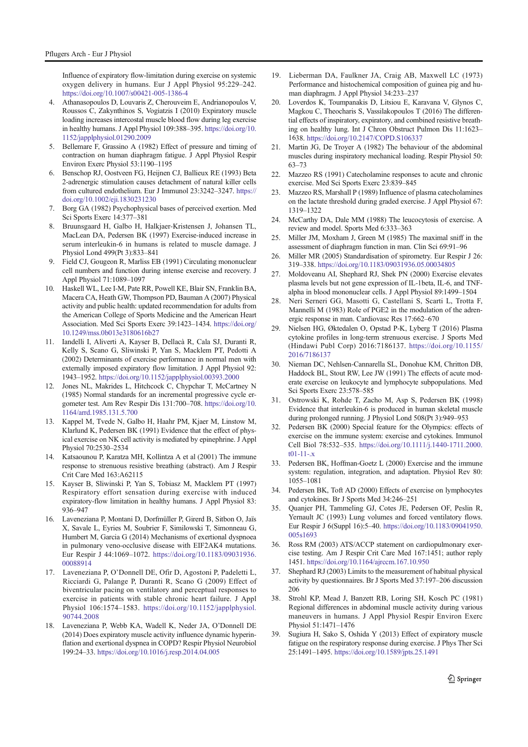Influence of expiratory flow-limitation during exercise on systemic oxygen delivery in humans. Eur J Appl Physiol 95:229–242. https://doi.org/10.1007/s00421-005-1386-4

- 4. Athanasopoulos D, Louvaris Z, Cherouveim E, Andrianopoulos V, Roussos C, Zakynthinos S, Vogiatzis I (2010) Expiratory muscle loading increases intercostal muscle blood flow during leg exercise in healthy humans. J Appl Physiol 109:388–395. https://doi.org/10. 1152/japplphysiol.01290.2009
- 5. Bellemare F, Grassino A (1982) Effect of pressure and timing of contraction on human diaphragm fatigue. J Appl Physiol Respir Environ Exerc Physiol 53:1190–1195
- 6. Benschop RJ, Oostveen FG, Heijnen CJ, Ballieux RE (1993) Beta 2-adrenergic stimulation causes detachment of natural killer cells from cultured endothelium. Eur J Immunol 23:3242–3247. https:// doi.org/10.1002/eji.1830231230
- 7. Borg GA (1982) Psychophysical bases of perceived exertion. Med Sci Sports Exerc 14:377–381
- 8. Bruunsgaard H, Galbo H, Halkjaer-Kristensen J, Johansen TL, MacLean DA, Pedersen BK (1997) Exercise-induced increase in serum interleukin-6 in humans is related to muscle damage. J Physiol Lond 499(Pt 3):833–841
- 9. Field CJ, Gougeon R, Marliss EB (1991) Circulating mononuclear cell numbers and function during intense exercise and recovery. J Appl Physiol 71:1089–1097
- 10. Haskell WL, Lee I-M, Pate RR, Powell KE, Blair SN, Franklin BA, Macera CA, Heath GW, Thompson PD, Bauman A (2007) Physical activity and public health: updated recommendation for adults from the American College of Sports Medicine and the American Heart Association. Med Sci Sports Exerc 39:1423–1434. https://doi.org/ 10.1249/mss.0b013e3180616b27
- 11. Iandelli I, Aliverti A, Kayser B, Dellacà R, Cala SJ, Duranti R, Kelly S, Scano G, Sliwinski P, Yan S, Macklem PT, Pedotti A (2002) Determinants of exercise performance in normal men with externally imposed expiratory flow limitation. J Appl Physiol 92: 1943–1952. https://doi.org/10.1152/japplphysiol.00393.2000
- 12. Jones NL, Makrides L, Hitchcock C, Chypchar T, McCartney N (1985) Normal standards for an incremental progressive cycle ergometer test. Am Rev Respir Dis 131:700–708. https://doi.org/10. 1164/arrd.1985.131.5.700
- 13. Kappel M, Tvede N, Galbo H, Haahr PM, Kjaer M, Linstow M, Klarlund K, Pedersen BK (1991) Evidence that the effect of physical exercise on NK cell activity is mediated by epinephrine. J Appl Physiol 70:2530–2534
- 14. Katsaounou P, Karatza MH, Kollintza A et al (2001) The immune response to strenuous resistive breathing (abstract). Am J Respir Crit Care Med 163:A62115
- 15. Kayser B, Sliwinski P, Yan S, Tobiasz M, Macklem PT (1997) Respiratory effort sensation during exercise with induced expiratory-flow limitation in healthy humans. J Appl Physiol 83: 936–947
- 16. Laveneziana P, Montani D, Dorfmüller P, Girerd B, Sitbon O, Jaïs X, Savale L, Eyries M, Soubrier F, Similowski T, Simonneau G, Humbert M, Garcia G (2014) Mechanisms of exertional dyspnoea in pulmonary veno-occlusive disease with EIF2AK4 mutations. Eur Respir J 44:1069–1072. https://doi.org/10.1183/09031936. 00088914
- 17. Laveneziana P, O'Donnell DE, Ofir D, Agostoni P, Padeletti L, Ricciardi G, Palange P, Duranti R, Scano G (2009) Effect of biventricular pacing on ventilatory and perceptual responses to exercise in patients with stable chronic heart failure. J Appl Physiol 106:1574–1583. https://doi.org/10.1152/japplphysiol. 90744.2008
- 18. Laveneziana P, Webb KA, Wadell K, Neder JA, O'Donnell DE (2014) Does expiratory muscle activity influence dynamic hyperinflation and exertional dyspnea in COPD? Respir Physiol Neurobiol 199:24–33. https://doi.org/10.1016/j.resp.2014.04.005
- 19. Lieberman DA, Faulkner JA, Craig AB, Maxwell LC (1973) Performance and histochemical composition of guinea pig and human diaphragm. J Appl Physiol 34:233–237
- 20. Loverdos K, Toumpanakis D, Litsiou E, Karavana V, Glynos C, Magkou C, Theocharis S, Vassilakopoulos T (2016) The differential effects of inspiratory, expiratory, and combined resistive breathing on healthy lung. Int J Chron Obstruct Pulmon Dis 11:1623– 1638. https://doi.org/10.2147/COPD.S106337
- Martin JG, De Troyer A (1982) The behaviour of the abdominal muscles during inspiratory mechanical loading. Respir Physiol 50: 63–73
- 22. Mazzeo RS (1991) Catecholamine responses to acute and chronic exercise. Med Sci Sports Exerc 23:839–845
- 23. Mazzeo RS, Marshall P (1989) Influence of plasma catecholamines on the lactate threshold during graded exercise. J Appl Physiol 67: 1319–1322
- 24. McCarthy DA, Dale MM (1988) The leucocytosis of exercise. A review and model. Sports Med 6:333–363
- 25. Miller JM, Moxham J, Green M (1985) The maximal sniff in the assessment of diaphragm function in man. Clin Sci 69:91–96
- 26. Miller MR (2005) Standardisation of spirometry. Eur Respir J 26: 319–338. https://doi.org/10.1183/09031936.05.00034805
- 27. Moldoveanu AI, Shephard RJ, Shek PN (2000) Exercise elevates plasma levels but not gene expression of IL-1beta, IL-6, and TNFalpha in blood mononuclear cells. J Appl Physiol 89:1499–1504
- 28. Neri Serneri GG, Masotti G, Castellani S, Scarti L, Trotta F, Mannelli M (1983) Role of PGE2 in the modulation of the adrenergic response in man. Cardiovasc Res 17:662–670
- 29. Nielsen HG, Øktedalen O, Opstad P-K, Lyberg T (2016) Plasma cytokine profiles in long-term strenuous exercise. J Sports Med (Hindawi Publ Corp) 2016:7186137. https://doi.org/10.1155/ 2016/7186137
- 30. Nieman DC, Nehlsen-Cannarella SL, Donohue KM, Chritton DB, Haddock BL, Stout RW, Lee JW (1991) The effects of acute moderate exercise on leukocyte and lymphocyte subpopulations. Med Sci Sports Exerc 23:578–585
- 31. Ostrowski K, Rohde T, Zacho M, Asp S, Pedersen BK (1998) Evidence that interleukin-6 is produced in human skeletal muscle during prolonged running. J Physiol Lond 508(Pt 3):949–953
- 32. Pedersen BK (2000) Special feature for the Olympics: effects of exercise on the immune system: exercise and cytokines. Immunol Cell Biol 78:532–535. https://doi.org/10.1111/j.1440-1711.2000.  $t01-11-x$
- 33. Pedersen BK, Hoffman-Goetz L (2000) Exercise and the immune system: regulation, integration, and adaptation. Physiol Rev 80: 1055–1081
- 34. Pedersen BK, Toft AD (2000) Effects of exercise on lymphocytes and cytokines. Br J Sports Med 34:246–251
- 35. Quanjer PH, Tammeling GJ, Cotes JE, Pedersen OF, Peslin R, Yernault JC (1993) Lung volumes and forced ventilatory flows. Eur Respir J 6(Suppl 16):5–40. https://doi.org/10.1183/09041950. 005s1693
- 36. Ross RM (2003) ATS/ACCP statement on cardiopulmonary exercise testing. Am J Respir Crit Care Med 167:1451; author reply 1451. https://doi.org/10.1164/ajrccm.167.10.950
- 37. Shephard RJ (2003) Limits to the measurement of habitual physical activity by questionnaires. Br J Sports Med 37:197–206 discussion 206
- 38. Strohl KP, Mead J, Banzett RB, Loring SH, Kosch PC (1981) Regional differences in abdominal muscle activity during various maneuvers in humans. J Appl Physiol Respir Environ Exerc Physiol 51:1471–1476
- 39. Sugiura H, Sako S, Oshida Y (2013) Effect of expiratory muscle fatigue on the respiratory response during exercise. J Phys Ther Sci 25:1491–1495. https://doi.org/10.1589/jpts.25.1491